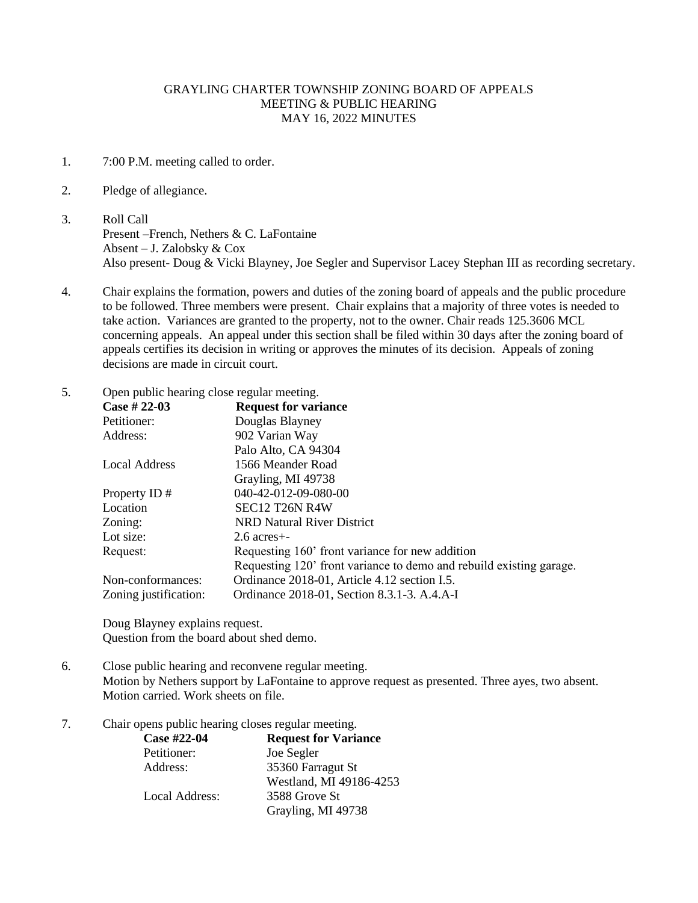## GRAYLING CHARTER TOWNSHIP ZONING BOARD OF APPEALS MEETING & PUBLIC HEARING MAY 16, 2022 MINUTES

- 1. 7:00 P.M. meeting called to order.
- 2. Pledge of allegiance.
- 3. Roll Call Present –French, Nethers & C. LaFontaine Absent – J. Zalobsky & Cox Also present- Doug & Vicki Blayney, Joe Segler and Supervisor Lacey Stephan III as recording secretary.
- 4. Chair explains the formation, powers and duties of the zoning board of appeals and the public procedure to be followed. Three members were present. Chair explains that a majority of three votes is needed to take action. Variances are granted to the property, not to the owner. Chair reads 125.3606 MCL concerning appeals. An appeal under this section shall be filed within 30 days after the zoning board of appeals certifies its decision in writing or approves the minutes of its decision. Appeals of zoning decisions are made in circuit court.
- 5. Open public hearing close regular meeting.

| Case # $22-03$        | <b>Request for variance</b>                                         |
|-----------------------|---------------------------------------------------------------------|
| Petitioner:           | Douglas Blayney                                                     |
| Address:              | 902 Varian Way                                                      |
|                       | Palo Alto, CA 94304                                                 |
| Local Address         | 1566 Meander Road                                                   |
|                       | Grayling, MI 49738                                                  |
| Property ID#          | 040-42-012-09-080-00                                                |
| Location              | SEC12 T26N R4W                                                      |
| Zoning:               | NRD Natural River District                                          |
| Lot size:             | $2.6$ acres $+$ -                                                   |
| Request:              | Requesting 160' front variance for new addition                     |
|                       | Requesting 120' front variance to demo and rebuild existing garage. |
| Non-conformances:     | Ordinance 2018-01, Article 4.12 section I.5.                        |
| Zoning justification: | Ordinance 2018-01, Section 8.3.1-3. A.4.A-I                         |

Doug Blayney explains request. Question from the board about shed demo.

- 6. Close public hearing and reconvene regular meeting. Motion by Nethers support by LaFontaine to approve request as presented. Three ayes, two absent. Motion carried. Work sheets on file.
- 7. Chair opens public hearing closes regular meeting.

| Case #22-04    | <b>Request for Variance</b> |
|----------------|-----------------------------|
| Petitioner:    | Joe Segler                  |
| Address:       | 35360 Farragut St           |
|                | Westland, MI 49186-4253     |
| Local Address: | 3588 Grove St               |
|                | Grayling, MI 49738          |